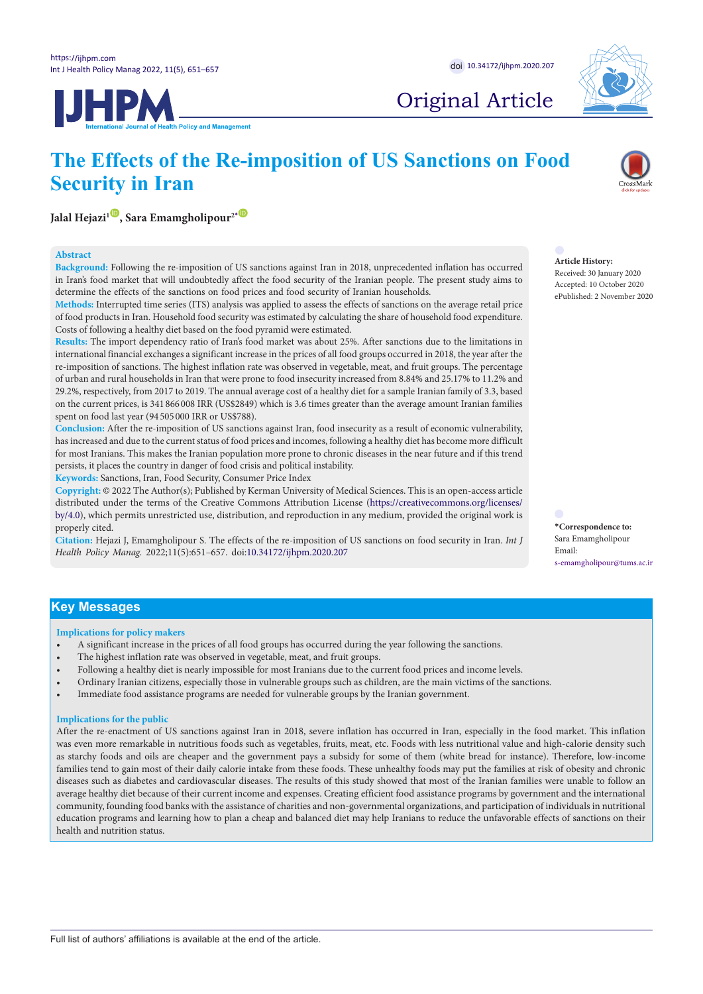

## Original Article

# **JHPM**





## **Jalal Hejazi<sup>1</sup><sup>(0</sup>), Sara Emamgholipour<sup>2</sub>[\\*](#page-0-0) <sup>(0</sup>)**</sup>

## **Abstract**

**Background:** Following the re-imposition of US sanctions against Iran in 2018, unprecedented inflation has occurred in Iran's food market that will undoubtedly affect the food security of the Iranian people. The present study aims to determine the effects of the sanctions on food prices and food security of Iranian households.

**Methods:** Interrupted time series (ITS) analysis was applied to assess the effects of sanctions on the average retail price of food products in Iran. Household food security was estimated by calculating the share of household food expenditure. Costs of following a healthy diet based on the food pyramid were estimated.

**Results:** The import dependency ratio of Iran's food market was about 25%. After sanctions due to the limitations in international financial exchanges a significant increase in the prices of all food groups occurred in 2018, the year after the re-imposition of sanctions. The highest inflation rate was observed in vegetable, meat, and fruit groups. The percentage of urban and rural households in Iran that were prone to food insecurity increased from 8.84% and 25.17% to 11.2% and 29.2%, respectively, from 2017 to 2019. The annual average cost of a healthy diet for a sample Iranian family of 3.3, based on the current prices, is 341 866 008 IRR (US\$2849) which is 3.6 times greater than the average amount Iranian families spent on food last year (94 505 000 IRR or US\$788).

**Conclusion:** After the re-imposition of US sanctions against Iran, food insecurity as a result of economic vulnerability, has increased and due to the current status of food prices and incomes, following a healthy diet has become more difficult for most Iranians. This makes the Iranian population more prone to chronic diseases in the near future and if this trend persists, it places the country in danger of food crisis and political instability.

**Keywords:** Sanctions, Iran, Food Security, Consumer Price Index

**Copyright:** © 2022 The Author(s); Published by Kerman University of Medical Sciences. This is an open-access article distributed under the terms of the Creative Commons Attribution License [\(https://creativecommons.org/licenses/](http://creativecommons.org/licenses/by/4.0) [by/4.0\)](http://creativecommons.org/licenses/by/4.0), which permits unrestricted use, distribution, and reproduction in any medium, provided the original work is properly cited.

**Citation:** Hejazi J, Emamgholipour S. The effects of the re-imposition of US sanctions on food security in Iran. *Int J Health Policy Manag.* 2022;11(5):651–657. doi:10.34172/ijhpm.2020.207

**Article History:**

Received: 30 January 2020 Accepted: 10 October 2020 ePublished: 2 November 2020

<span id="page-0-0"></span>**\*Correspondence to:** Sara Emamgholipour Email: s-emamgholipour@tums.ac.ir

## **Key Messages**

**Implications for policy makers**

- A significant increase in the prices of all food groups has occurred during the year following the sanctions.
- The highest inflation rate was observed in vegetable, meat, and fruit groups.
- Following a healthy diet is nearly impossible for most Iranians due to the current food prices and income levels.
- Ordinary Iranian citizens, especially those in vulnerable groups such as children, are the main victims of the sanctions.
- Immediate food assistance programs are needed for vulnerable groups by the Iranian government.

## **Implications for the public**

After the re-enactment of US sanctions against Iran in 2018, severe inflation has occurred in Iran, especially in the food market. This inflation was even more remarkable in nutritious foods such as vegetables, fruits, meat, etc. Foods with less nutritional value and high-calorie density such as starchy foods and oils are cheaper and the government pays a subsidy for some of them (white bread for instance). Therefore, low-income families tend to gain most of their daily calorie intake from these foods. These unhealthy foods may put the families at risk of obesity and chronic diseases such as diabetes and cardiovascular diseases. The results of this study showed that most of the Iranian families were unable to follow an average healthy diet because of their current income and expenses. Creating efficient food assistance programs by government and the international community, founding food banks with the assistance of charities and non-governmental organizations, and participation of individuals in nutritional education programs and learning how to plan a cheap and balanced diet may help Iranians to reduce the unfavorable effects of sanctions on their health and nutrition status.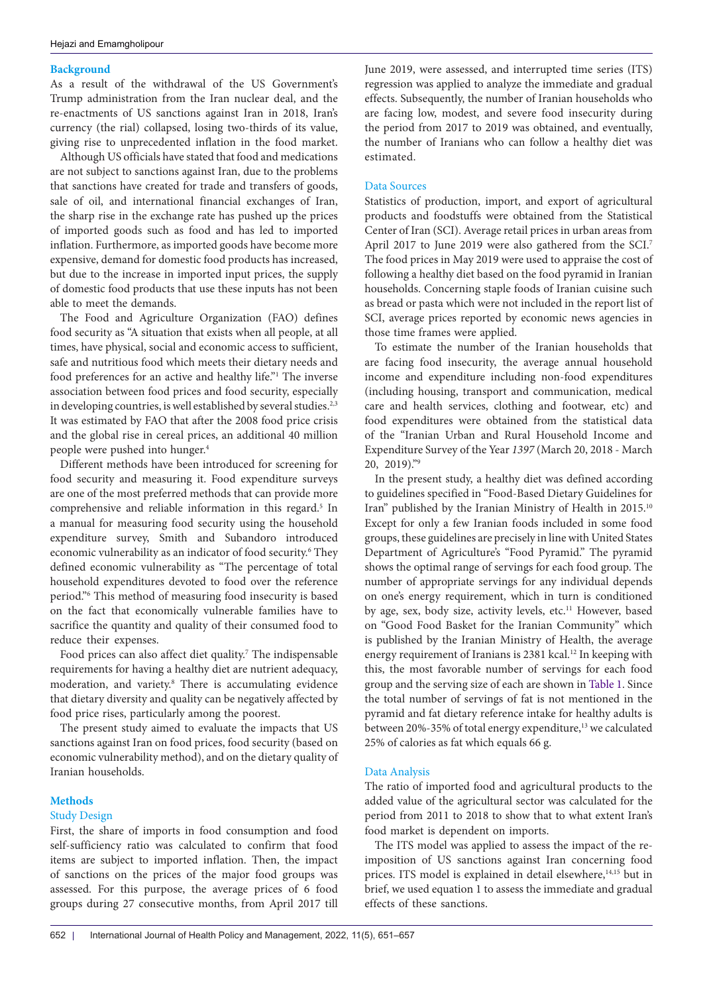## **Background**

As a result of the withdrawal of the US Government's Trump administration from the Iran nuclear deal, and the re-enactments of US sanctions against Iran in 2018, Iran's currency (the rial) collapsed, losing two-thirds of its value, giving rise to unprecedented inflation in the food market.

Although US officials have stated that food and medications are not subject to sanctions against Iran, due to the problems that sanctions have created for trade and transfers of goods, sale of oil, and international financial exchanges of Iran, the sharp rise in the exchange rate has pushed up the prices of imported goods such as food and has led to imported inflation. Furthermore, as imported goods have become more expensive, demand for domestic food products has increased, but due to the increase in imported input prices, the supply of domestic food products that use these inputs has not been able to meet the demands.

The Food and Agriculture Organization (FAO) defines food security as "A situation that exists when all people, at all times, have physical, social and economic access to sufficient, safe and nutritious food which meets their dietary needs and food preferences for an active and healthy life."<sup>1</sup> The inverse association between food prices and food security, especially in developing countries, is well established by several studies.<sup>2,3</sup> It was estimated by FAO that after the 2008 food price crisis and the global rise in cereal prices, an additional 40 million people were pushed into hunger.4

Different methods have been introduced for screening for food security and measuring it. Food expenditure surveys are one of the most preferred methods that can provide more comprehensive and reliable information in this regard.<sup>5</sup> In a manual for measuring food security using the household expenditure survey, Smith and Subandoro introduced economic vulnerability as an indicator of food security.<sup>6</sup> They defined economic vulnerability as "The percentage of total household expenditures devoted to food over the reference period."6 This method of measuring food insecurity is based on the fact that economically vulnerable families have to sacrifice the quantity and quality of their consumed food to reduce their expenses.

Food prices can also affect diet quality.<sup>7</sup> The indispensable requirements for having a healthy diet are nutrient adequacy, moderation, and variety.8 There is accumulating evidence that dietary diversity and quality can be negatively affected by food price rises, particularly among the poorest.

The present study aimed to evaluate the impacts that US sanctions against Iran on food prices, food security (based on economic vulnerability method), and on the dietary quality of Iranian households.

## **Methods**

## Study Design

First, the share of imports in food consumption and food self-sufficiency ratio was calculated to confirm that food items are subject to imported inflation. Then, the impact of sanctions on the prices of the major food groups was assessed. For this purpose, the average prices of 6 food groups during 27 consecutive months, from April 2017 till June 2019, were assessed, and interrupted time series (ITS) regression was applied to analyze the immediate and gradual effects. Subsequently, the number of Iranian households who are facing low, modest, and severe food insecurity during the period from 2017 to 2019 was obtained, and eventually, the number of Iranians who can follow a healthy diet was estimated.

## Data Sources

Statistics of production, import, and export of agricultural products and foodstuffs were obtained from the Statistical Center of Iran (SCI). Average retail prices in urban areas from April 2017 to June 2019 were also gathered from the SCI.<sup>7</sup> The food prices in May 2019 were used to appraise the cost of following a healthy diet based on the food pyramid in Iranian households. Concerning staple foods of Iranian cuisine such as bread or pasta which were not included in the report list of SCI, average prices reported by economic news agencies in those time frames were applied.

To estimate the number of the Iranian households that are facing food insecurity, the average annual household income and expenditure including non-food expenditures (including housing, transport and communication, medical care and health services, clothing and footwear, etc) and food expenditures were obtained from the statistical data of the "Iranian Urban and Rural Household Income and Expenditure Survey of the Year *1397* (March 20, 2018 - March 20, 2019)."9

In the present study, a healthy diet was defined according to guidelines specified in "Food-Based Dietary Guidelines for Iran" published by the Iranian Ministry of Health in 2015.10 Except for only a few Iranian foods included in some food groups, these guidelines are precisely in line with United States Department of Agriculture's "Food Pyramid." The pyramid shows the optimal range of servings for each food group. The number of appropriate servings for any individual depends on one's energy requirement, which in turn is conditioned by age, sex, body size, activity levels, etc.<sup>11</sup> However, based on "Good Food Basket for the Iranian Community" which is published by the Iranian Ministry of Health, the average energy requirement of Iranians is 2381 kcal.<sup>12</sup> In keeping with this, the most favorable number of servings for each food group and the serving size of each are shown in [Table 1](#page-2-0). Since the total number of servings of fat is not mentioned in the pyramid and fat dietary reference intake for healthy adults is between 20%-35% of total energy expenditure,<sup>13</sup> we calculated 25% of calories as fat which equals 66 g.

## Data Analysis

The ratio of imported food and agricultural products to the added value of the agricultural sector was calculated for the period from 2011 to 2018 to show that to what extent Iran's food market is dependent on imports.

The ITS model was applied to assess the impact of the reimposition of US sanctions against Iran concerning food prices. ITS model is explained in detail elsewhere,<sup>14,15</sup> but in brief, we used equation 1 to assess the immediate and gradual effects of these sanctions.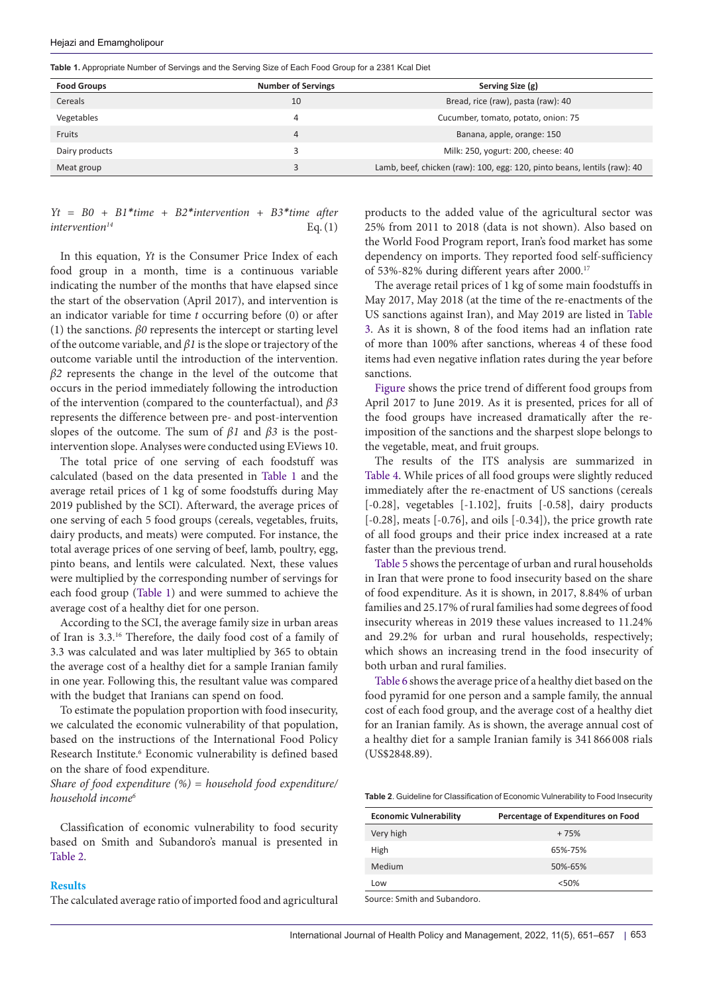## Hejazi and Emamgholipour

<span id="page-2-0"></span>**Table 1.** Appropriate Number of Servings and the Serving Size of Each Food Group for a 2381 Kcal Diet

| <b>Food Groups</b> | <b>Number of Servings</b> | Serving Size (g)                                                         |
|--------------------|---------------------------|--------------------------------------------------------------------------|
| Cereals            | 10                        | Bread, rice (raw), pasta (raw): 40                                       |
| Vegetables         | 4                         | Cucumber, tomato, potato, onion: 75                                      |
| Fruits             | 4                         | Banana, apple, orange: 150                                               |
| Dairy products     |                           | Milk: 250, yogurt: 200, cheese: 40                                       |
| Meat group         |                           | Lamb, beef, chicken (raw): 100, egg: 120, pinto beans, lentils (raw): 40 |

## *Yt = B0 + B1\*time + B2\*intervention + B3\*time after*   $intervention^{14}$  Eq.(1)

In this equation, *Yt* is the Consumer Price Index of each food group in a month, time is a continuous variable indicating the number of the months that have elapsed since the start of the observation (April 2017), and intervention is an indicator variable for time *t* occurring before (0) or after (1) the sanctions. *β0* represents the intercept or starting level of the outcome variable, and *β1* is the slope or trajectory of the outcome variable until the introduction of the intervention. *β2* represents the change in the level of the outcome that occurs in the period immediately following the introduction of the intervention (compared to the counterfactual), and *β3* represents the difference between pre- and post-intervention slopes of the outcome. The sum of *β1* and *β3* is the postintervention slope. Analyses were conducted using EViews 10.

The total price of one serving of each foodstuff was calculated (based on the data presented in [Table 1](#page-2-0) and the average retail prices of 1 kg of some foodstuffs during May 2019 published by the SCI). Afterward, the average prices of one serving of each 5 food groups (cereals, vegetables, fruits, dairy products, and meats) were computed. For instance, the total average prices of one serving of beef, lamb, poultry, egg, pinto beans, and lentils were calculated. Next, these values were multiplied by the corresponding number of servings for each food group ([Table 1](#page-2-0)) and were summed to achieve the average cost of a healthy diet for one person.

According to the SCI, the average family size in urban areas of Iran is 3.3.16 Therefore, the daily food cost of a family of 3.3 was calculated and was later multiplied by 365 to obtain the average cost of a healthy diet for a sample Iranian family in one year. Following this, the resultant value was compared with the budget that Iranians can spend on food.

To estimate the population proportion with food insecurity, we calculated the economic vulnerability of that population, based on the instructions of the International Food Policy Research Institute.<sup>6</sup> Economic vulnerability is defined based on the share of food expenditure.

*Share of food expenditure (%) = household food expenditure/ household income6*

Classification of economic vulnerability to food security based on Smith and Subandoro's manual is presented in [Table 2.](#page-2-1)

## **Results**

The calculated average ratio of imported food and agricultural

products to the added value of the agricultural sector was 25% from 2011 to 2018 (data is not shown). Also based on the World Food Program report, Iran's food market has some dependency on imports. They reported food self-sufficiency of 53%-82% during different years after 2000.17

The average retail prices of 1 kg of some main foodstuffs in May 2017, May 2018 (at the time of the re-enactments of the US sanctions against Iran), and May 2019 are listed in [Table](#page-3-0)  [3.](#page-3-0) As it is shown, 8 of the food items had an inflation rate of more than 100% after sanctions, whereas 4 of these food items had even negative inflation rates during the year before sanctions.

[Figure](#page-3-1) shows the price trend of different food groups from April 2017 to June 2019. As it is presented, prices for all of the food groups have increased dramatically after the reimposition of the sanctions and the sharpest slope belongs to the vegetable, meat, and fruit groups.

The results of the ITS analysis are summarized in [Table 4.](#page-4-0) While prices of all food groups were slightly reduced immediately after the re-enactment of US sanctions (cereals [-0.28], vegetables [-1.102], fruits [-0.58], dairy products [-0.28], meats [-0.76], and oils [-0.34]), the price growth rate of all food groups and their price index increased at a rate faster than the previous trend.

[Table 5](#page-4-1) shows the percentage of urban and rural households in Iran that were prone to food insecurity based on the share of food expenditure. As it is shown, in 2017, 8.84% of urban families and 25.17% of rural families had some degrees of food insecurity whereas in 2019 these values increased to 11.24% and 29.2% for urban and rural households, respectively; which shows an increasing trend in the food insecurity of both urban and rural families.

[Table 6](#page-4-2) shows the average price of a healthy diet based on the food pyramid for one person and a sample family, the annual cost of each food group, and the average cost of a healthy diet for an Iranian family. As is shown, the average annual cost of a healthy diet for a sample Iranian family is 341 866 008 rials (US\$2848.89).

<span id="page-2-1"></span>**Table 2**. Guideline for Classification of Economic Vulnerability to Food Insecurity

| <b>Economic Vulnerability</b> | Percentage of Expenditures on Food |
|-------------------------------|------------------------------------|
| Very high                     | $+75%$                             |
| High                          | 65%-75%                            |
| Medium                        | 50%-65%                            |
| Low                           | < 50%                              |
|                               |                                    |

Source: Smith and Subandoro.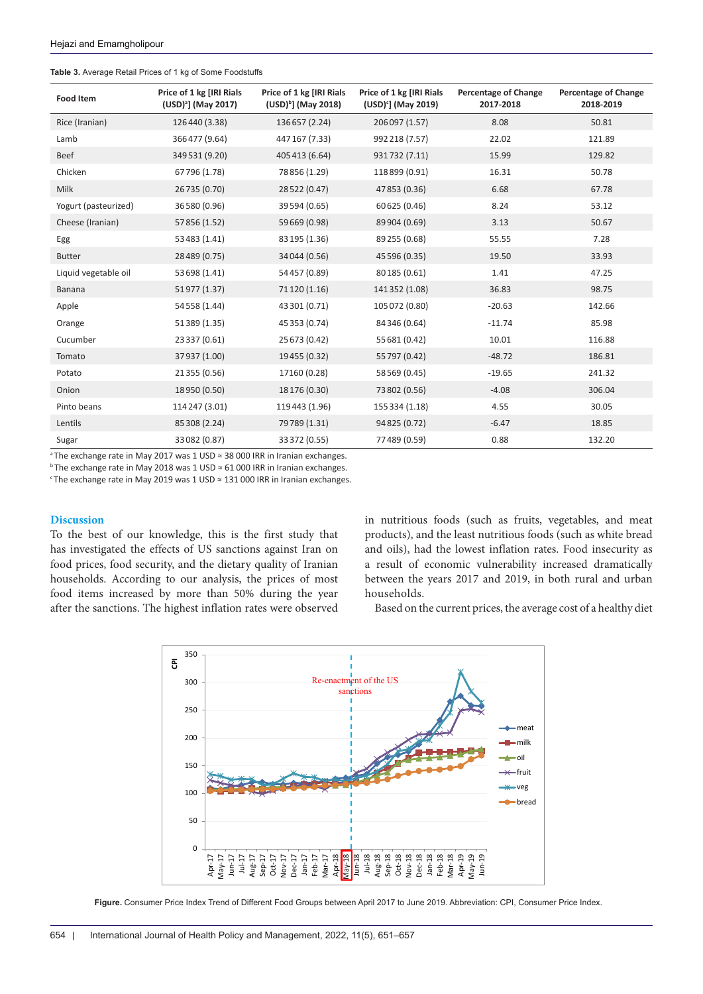<span id="page-3-0"></span>

|  | Table 3. Average Retail Prices of 1 kg of Some Foodstuffs |
|--|-----------------------------------------------------------|
|--|-----------------------------------------------------------|

| <b>Food Item</b>     | Price of 1 kg [IRI Rials<br>(USD) <sup>a</sup> ] (May 2017) | Price of 1 kg [IRI Rials<br>(USD) <sup>b</sup> ] (May 2018) | Price of 1 kg [IRI Rials<br>(USD) <sup>c</sup> ] (May 2019) | <b>Percentage of Change</b><br>2017-2018 | <b>Percentage of Change</b><br>2018-2019 |
|----------------------|-------------------------------------------------------------|-------------------------------------------------------------|-------------------------------------------------------------|------------------------------------------|------------------------------------------|
| Rice (Iranian)       | 126440 (3.38)                                               | 136657 (2.24)                                               | 206097 (1.57)                                               | 8.08                                     | 50.81                                    |
| Lamb                 | 366477 (9.64)                                               | 447 167 (7.33)                                              | 992 218 (7.57)                                              | 22.02                                    | 121.89                                   |
| <b>Beef</b>          | 349531 (9.20)                                               | 405 413 (6.64)                                              | 931732 (7.11)                                               | 15.99                                    | 129.82                                   |
| Chicken              | 67796 (1.78)                                                | 78 856 (1.29)                                               | 118899 (0.91)                                               | 16.31                                    | 50.78                                    |
| <b>Milk</b>          | 26735 (0.70)                                                | 28 522 (0.47)                                               | 47853 (0.36)                                                | 6.68                                     | 67.78                                    |
| Yogurt (pasteurized) | 36580 (0.96)                                                | 39 594 (0.65)                                               | 60 625 (0.46)                                               | 8.24                                     | 53.12                                    |
| Cheese (Iranian)     | 57856 (1.52)                                                | 59 669 (0.98)                                               | 89 904 (0.69)                                               | 3.13                                     | 50.67                                    |
| Egg                  | 53483 (1.41)                                                | 83 195 (1.36)                                               | 89 255 (0.68)                                               | 55.55                                    | 7.28                                     |
| <b>Butter</b>        | 28489 (0.75)                                                | 34 044 (0.56)                                               | 45 596 (0.35)                                               | 19.50                                    | 33.93                                    |
| Liquid vegetable oil | 53 698 (1.41)                                               | 54 457 (0.89)                                               | 80 185 (0.61)                                               | 1.41                                     | 47.25                                    |
| <b>Banana</b>        | 51977 (1.37)                                                | 71 120 (1.16)                                               | 141352 (1.08)                                               | 36.83                                    | 98.75                                    |
| Apple                | 54558 (1.44)                                                | 43 301 (0.71)                                               | 105 072 (0.80)                                              | $-20.63$                                 | 142.66                                   |
| Orange               | 51389 (1.35)                                                | 45 353 (0.74)                                               | 84 346 (0.64)                                               | $-11.74$                                 | 85.98                                    |
| Cucumber             | 23337 (0.61)                                                | 25 673 (0.42)                                               | 55 681 (0.42)                                               | 10.01                                    | 116.88                                   |
| Tomato               | 37937 (1.00)                                                | 19455 (0.32)                                                | 55 797 (0.42)                                               | $-48.72$                                 | 186.81                                   |
| Potato               | 21355 (0.56)                                                | 17160 (0.28)                                                | 58 569 (0.45)                                               | $-19.65$                                 | 241.32                                   |
| Onion                | 18950 (0.50)                                                | 18 176 (0.30)                                               | 73 802 (0.56)                                               | $-4.08$                                  | 306.04                                   |
| Pinto beans          | 114 247 (3.01)                                              | 119 443 (1.96)                                              | 155 334 (1.18)                                              | 4.55                                     | 30.05                                    |
| Lentils              | 85308 (2.24)                                                | 79789 (1.31)                                                | 94 825 (0.72)                                               | $-6.47$                                  | 18.85                                    |
| Sugar                | 33082 (0.87)                                                | 33 372 (0.55)                                               | 77489 (0.59)                                                | 0.88                                     | 132.20                                   |

<sup>a</sup>The exchange rate in May 2017 was 1 USD ≈ 38 000 IRR in Iranian exchanges.

b The exchange rate in May 2018 was 1 USD ≈ 61 000 IRR in Iranian exchanges.

c The exchange rate in May 2019 was 1 USD ≈ 131 000 IRR in Iranian exchanges.

## **Discussion**

To the best of our knowledge, this is the first study that has investigated the effects of US sanctions against Iran on food prices, food security, and the dietary quality of Iranian households. According to our analysis, the prices of most food items increased by more than 50% during the year after the sanctions. The highest inflation rates were observed in nutritious foods (such as fruits, vegetables, and meat products), and the least nutritious foods (such as white bread and oils), had the lowest inflation rates. Food insecurity as a result of economic vulnerability increased dramatically between the years 2017 and 2019, in both rural and urban households.

<span id="page-3-1"></span>Based on the current prices, the average cost of a healthy diet



**Figure.** Consumer Price Index Trend of Different Food Groups between April 2017 to June 2019. Abbreviation: CPI, Consumer Price Index.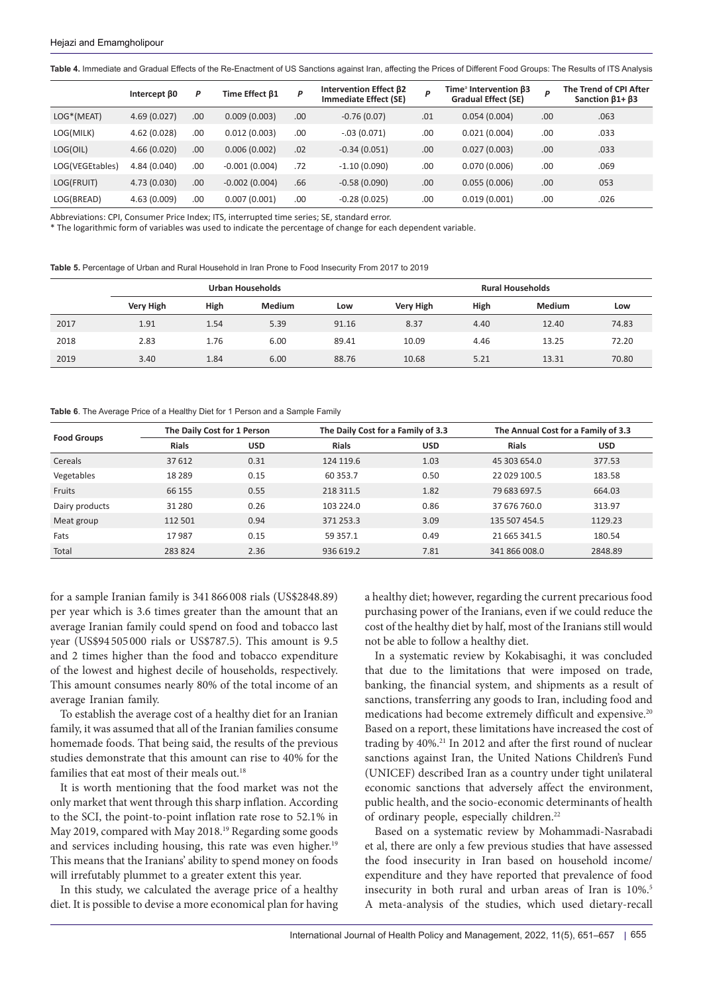<span id="page-4-0"></span>**Table 4.** Immediate and Gradual Effects of the Re-Enactment of US Sanctions against Iran, affecting the Prices of Different Food Groups: The Results of ITS Analysis

|                 | Intercept B0 | P    | Time Effect B1  | P   | Intervention Effect B2<br><b>Immediate Effect (SE)</b> | P   | Time <sup>a</sup> Intervention $\beta$ 3<br><b>Gradual Effect (SE)</b> | P   | The Trend of CPI After<br>Sanction $\beta$ 1+ $\beta$ 3 |
|-----------------|--------------|------|-----------------|-----|--------------------------------------------------------|-----|------------------------------------------------------------------------|-----|---------------------------------------------------------|
| LOG*(MEAT)      | 4.69(0.027)  | .00. | 0.009(0.003)    | .00 | $-0.76(0.07)$                                          | .01 | 0.054(0.004)                                                           | .00 | .063                                                    |
| LOG(MILK)       | 4.62 (0.028) | .00  | 0.012(0.003)    | .00 | $-.03(0.071)$                                          | .00 | 0.021(0.004)                                                           | .00 | .033                                                    |
| LOG(OIL)        | 4.66(0.020)  | .00. | 0.006(0.002)    | .02 | $-0.34(0.051)$                                         | .00 | 0.027(0.003)                                                           | .00 | .033                                                    |
| LOG(VEGEtables) | 4.84 (0.040) | .00  | $-0.001(0.004)$ | .72 | $-1.10(0.090)$                                         | .00 | 0.070(0.006)                                                           | .00 | .069                                                    |
| LOG(FRUIT)      | 4.73 (0.030) | .00. | $-0.002(0.004)$ | .66 | $-0.58(0.090)$                                         | .00 | 0.055(0.006)                                                           | .00 | 053                                                     |
| LOG(BREAD)      | 4.63 (0.009) | .00. | 0.007(0.001)    | .00 | $-0.28(0.025)$                                         | .00 | 0.019(0.001)                                                           | .00 | .026                                                    |

Abbreviations: CPI, Consumer Price Index; ITS, interrupted time series; SE, standard error.

\* The logarithmic form of variables was used to indicate the percentage of change for each dependent variable.

<span id="page-4-1"></span>**Table 5.** Percentage of Urban and Rural Household in Iran Prone to Food Insecurity From 2017 to 2019

|      | Urban Households |      |               |       | <b>Rural Households</b> |      |        |       |
|------|------------------|------|---------------|-------|-------------------------|------|--------|-------|
|      | Very High        | High | <b>Medium</b> | Low   | <b>Very High</b>        | High | Medium | Low   |
| 2017 | 1.91             | 1.54 | 5.39          | 91.16 | 8.37                    | 4.40 | 12.40  | 74.83 |
| 2018 | 2.83             | 1.76 | 6.00          | 89.41 | 10.09                   | 4.46 | 13.25  | 72.20 |
| 2019 | 3.40             | 1.84 | 6.00          | 88.76 | 10.68                   | 5.21 | 13.31  | 70.80 |

<span id="page-4-2"></span>**Table 6**. The Average Price of a Healthy Diet for 1 Person and a Sample Family

| <b>Food Groups</b> |              | The Daily Cost for 1 Person |              | The Daily Cost for a Family of 3.3 | The Annual Cost for a Family of 3.3 |            |  |
|--------------------|--------------|-----------------------------|--------------|------------------------------------|-------------------------------------|------------|--|
|                    | <b>Rials</b> | <b>USD</b>                  | <b>Rials</b> | <b>USD</b>                         | <b>Rials</b>                        | <b>USD</b> |  |
| Cereals            | 37 612       | 0.31                        | 124 119.6    | 1.03                               | 45 303 654.0                        | 377.53     |  |
| Vegetables         | 18 2 8 9     | 0.15                        | 60 353.7     | 0.50                               | 22 029 100.5                        | 183.58     |  |
| Fruits             | 66 155       | 0.55                        | 218 311.5    | 1.82                               | 79 683 697.5                        | 664.03     |  |
| Dairy products     | 31 280       | 0.26                        | 103 224.0    | 0.86                               | 37 676 760.0                        | 313.97     |  |
| Meat group         | 112 501      | 0.94                        | 371 253.3    | 3.09                               | 135 507 454.5                       | 1129.23    |  |
| Fats               | 17987        | 0.15                        | 59 357.1     | 0.49                               | 21 665 341.5                        | 180.54     |  |
| Total              | 283824       | 2.36                        | 936 619.2    | 7.81                               | 341 866 008.0                       | 2848.89    |  |

for a sample Iranian family is 341 866 008 rials (US\$2848.89) per year which is 3.6 times greater than the amount that an average Iranian family could spend on food and tobacco last year (US\$94 505 000 rials or US\$787.5). This amount is 9.5 and 2 times higher than the food and tobacco expenditure of the lowest and highest decile of households, respectively. This amount consumes nearly 80% of the total income of an average Iranian family.

To establish the average cost of a healthy diet for an Iranian family, it was assumed that all of the Iranian families consume homemade foods. That being said, the results of the previous studies demonstrate that this amount can rise to 40% for the families that eat most of their meals out.<sup>18</sup>

It is worth mentioning that the food market was not the only market that went through this sharp inflation. According to the SCI, the point-to-point inflation rate rose to 52.1% in May 2019, compared with May 2018.19 Regarding some goods and services including housing, this rate was even higher.<sup>19</sup> This means that the Iranians' ability to spend money on foods will irrefutably plummet to a greater extent this year.

In this study, we calculated the average price of a healthy diet. It is possible to devise a more economical plan for having a healthy diet; however, regarding the current precarious food purchasing power of the Iranians, even if we could reduce the cost of the healthy diet by half, most of the Iranians still would not be able to follow a healthy diet.

In a systematic review by Kokabisaghi, it was concluded that due to the limitations that were imposed on trade, banking, the financial system, and shipments as a result of sanctions, transferring any goods to Iran, including food and medications had become extremely difficult and expensive.20 Based on a report, these limitations have increased the cost of trading by 40%.21 In 2012 and after the first round of nuclear sanctions against Iran, the United Nations Children's Fund (UNICEF) described Iran as a country under tight unilateral economic sanctions that adversely affect the environment, public health, and the socio-economic determinants of health of ordinary people, especially children.<sup>22</sup>

Based on a systematic review by Mohammadi-Nasrabadi et al, there are only a few previous studies that have assessed the food insecurity in Iran based on household income/ expenditure and they have reported that prevalence of food insecurity in both rural and urban areas of Iran is 10%.<sup>5</sup> A meta-analysis of the studies, which used dietary-recall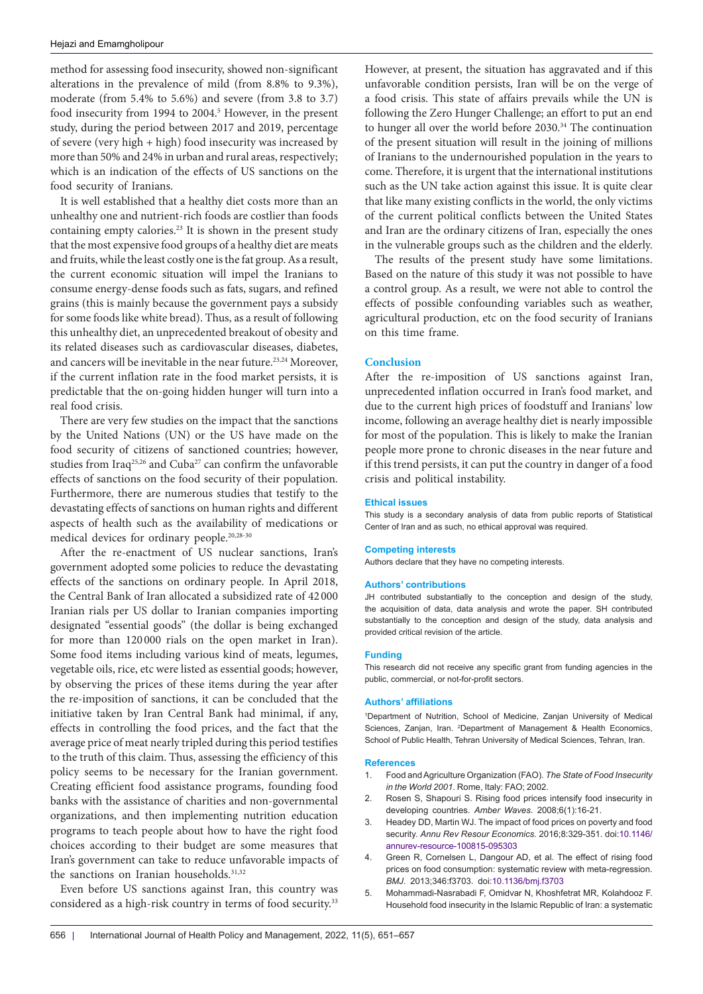method for assessing food insecurity, showed non-significant alterations in the prevalence of mild (from 8.8% to 9.3%), moderate (from 5.4% to 5.6%) and severe (from 3.8 to 3.7) food insecurity from 1994 to 2004.<sup>5</sup> However, in the present study, during the period between 2017 and 2019, percentage of severe (very high + high) food insecurity was increased by more than 50% and 24% in urban and rural areas, respectively; which is an indication of the effects of US sanctions on the food security of Iranians.

It is well established that a healthy diet costs more than an unhealthy one and nutrient-rich foods are costlier than foods containing empty calories.23 It is shown in the present study that the most expensive food groups of a healthy diet are meats and fruits, while the least costly one is the fat group. As a result, the current economic situation will impel the Iranians to consume energy-dense foods such as fats, sugars, and refined grains (this is mainly because the government pays a subsidy for some foods like white bread). Thus, as a result of following this unhealthy diet, an unprecedented breakout of obesity and its related diseases such as cardiovascular diseases, diabetes, and cancers will be inevitable in the near future.<sup>23,24</sup> Moreover, if the current inflation rate in the food market persists, it is predictable that the on-going hidden hunger will turn into a real food crisis.

There are very few studies on the impact that the sanctions by the United Nations (UN) or the US have made on the food security of citizens of sanctioned countries; however, studies from Iraq<sup>25,26</sup> and Cuba<sup>27</sup> can confirm the unfavorable effects of sanctions on the food security of their population. Furthermore, there are numerous studies that testify to the devastating effects of sanctions on human rights and different aspects of health such as the availability of medications or medical devices for ordinary people.20,28-30

After the re-enactment of US nuclear sanctions, Iran's government adopted some policies to reduce the devastating effects of the sanctions on ordinary people. In April 2018, the Central Bank of Iran allocated a subsidized rate of 42 000 Iranian rials per US dollar to Iranian companies importing designated "essential goods" (the dollar is being exchanged for more than 120 000 rials on the open market in Iran). Some food items including various kind of meats, legumes, vegetable oils, rice, etc were listed as essential goods; however, by observing the prices of these items during the year after the re-imposition of sanctions, it can be concluded that the initiative taken by Iran Central Bank had minimal, if any, effects in controlling the food prices, and the fact that the average price of meat nearly tripled during this period testifies to the truth of this claim. Thus, assessing the efficiency of this policy seems to be necessary for the Iranian government. Creating efficient food assistance programs, founding food banks with the assistance of charities and non-governmental organizations, and then implementing nutrition education programs to teach people about how to have the right food choices according to their budget are some measures that Iran's government can take to reduce unfavorable impacts of the sanctions on Iranian households.<sup>31,32</sup>

Even before US sanctions against Iran, this country was considered as a high-risk country in terms of food security.<sup>33</sup>

However, at present, the situation has aggravated and if this unfavorable condition persists, Iran will be on the verge of a food crisis. This state of affairs prevails while the UN is following the Zero Hunger Challenge; an effort to put an end to hunger all over the world before 2030.<sup>34</sup> The continuation of the present situation will result in the joining of millions of Iranians to the undernourished population in the years to come. Therefore, it is urgent that the international institutions such as the UN take action against this issue. It is quite clear that like many existing conflicts in the world, the only victims of the current political conflicts between the United States and Iran are the ordinary citizens of Iran, especially the ones in the vulnerable groups such as the children and the elderly.

The results of the present study have some limitations. Based on the nature of this study it was not possible to have a control group. As a result, we were not able to control the effects of possible confounding variables such as weather, agricultural production, etc on the food security of Iranians on this time frame.

## **Conclusion**

After the re-imposition of US sanctions against Iran, unprecedented inflation occurred in Iran's food market, and due to the current high prices of foodstuff and Iranians' low income, following an average healthy diet is nearly impossible for most of the population. This is likely to make the Iranian people more prone to chronic diseases in the near future and if this trend persists, it can put the country in danger of a food crisis and political instability.

## **Ethical issues**

This study is a secondary analysis of data from public reports of Statistical Center of Iran and as such, no ethical approval was required.

## **Competing interests**

Authors declare that they have no competing interests.

#### **Authors' contributions**

JH contributed substantially to the conception and design of the study, the acquisition of data, data analysis and wrote the paper. SH contributed substantially to the conception and design of the study, data analysis and provided critical revision of the article.

#### **Funding**

This research did not receive any specific grant from funding agencies in the public, commercial, or not-for-profit sectors.

#### **Authors' affiliations**

1 Department of Nutrition, School of Medicine, Zanjan University of Medical Sciences, Zanjan, Iran. 2 Department of Management & Health Economics, School of Public Health, Tehran University of Medical Sciences, Tehran, Iran.

#### **References**

- 1. Food and Agriculture Organization (FAO). *The State of Food Insecurity in the World 2001*. Rome, Italy: FAO; 2002.
- 2. Rosen S, Shapouri S. Rising food prices intensify food insecurity in developing countries. *Amber Waves*. 2008;6(1):16-21.
- 3. Headey DD, Martin WJ. The impact of food prices on poverty and food security. *Annu Rev Resour Economics.* 2016;8:329-351. doi[:10.1146/](https://doi.org/10.1146/annurev-resource-100815-095303) [annurev-resource-100815-095303](https://doi.org/10.1146/annurev-resource-100815-095303)
- 4. Green R, Cornelsen L, Dangour AD, et al. The effect of rising food prices on food consumption: systematic review with meta-regression. *BMJ*. 2013;346:f3703. doi:[10.1136/bmj.f3703](https://doi.org/10.1136/bmj.f3703)
- 5. Mohammadi-Nasrabadi F, Omidvar N, Khoshfetrat MR, Kolahdooz F. Household food insecurity in the Islamic Republic of Iran: a systematic